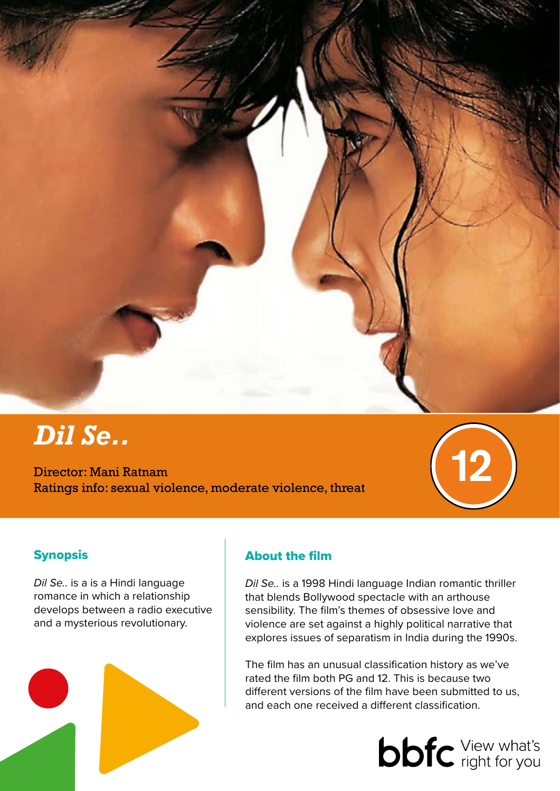

# *Dil Se..*

Director: Mani Ratnam Ratings info: sexual violence, moderate violence, threat



# **Synopsis**

*Dil Se..* is a is a Hindi language romance in which a relationship develops between a radio executive and a mysterious revolutionary.



# About the film

*Dil Se..* is a 1998 Hindi language Indian romantic thriller that blends Bollywood spectacle with an arthouse sensibility. The film's themes of obsessive love and violence are set against a highly political narrative that explores issues of separatism in India during the 1990s.

The film has an unusual classification history as we've rated the film both PG and 12. This is because two different versions of the film have been submitted to us, and each one received a different classification.

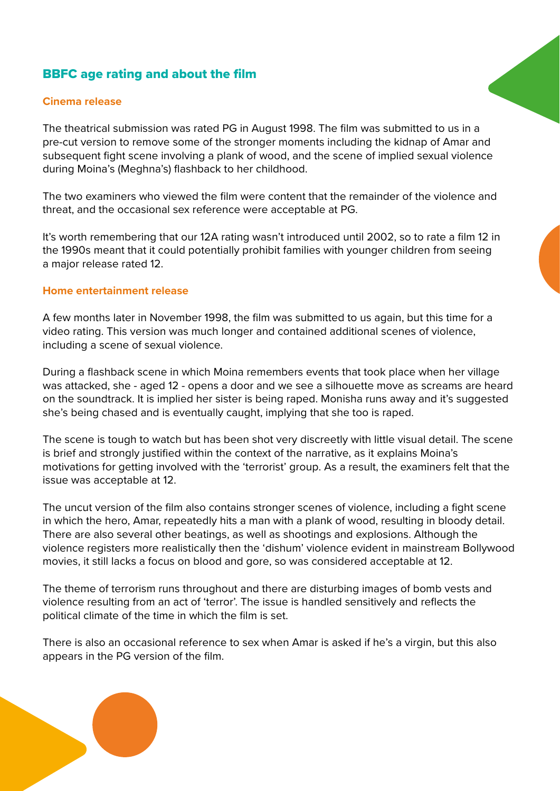## BBFC age rating and about the film

#### **Cinema release**

The theatrical submission was rated PG in August 1998. The film was submitted to us in a pre-cut version to remove some of the stronger moments including the kidnap of Amar and subsequent fight scene involving a plank of wood, and the scene of implied sexual violence during Moina's (Meghna's) flashback to her childhood.

The two examiners who viewed the film were content that the remainder of the violence and threat, and the occasional sex reference were acceptable at PG.

It's worth remembering that our 12A rating wasn't introduced until 2002, so to rate a film 12 in the 1990s meant that it could potentially prohibit families with younger children from seeing a major release rated 12.

#### **Home entertainment release**

A few months later in November 1998, the film was submitted to us again, but this time for a video rating. This version was much longer and contained additional scenes of violence, including a scene of sexual violence.

During a flashback scene in which Moina remembers events that took place when her village was attacked, she - aged 12 - opens a door and we see a silhouette move as screams are heard on the soundtrack. It is implied her sister is being raped. Monisha runs away and it's suggested she's being chased and is eventually caught, implying that she too is raped.

The scene is tough to watch but has been shot very discreetly with little visual detail. The scene is brief and strongly justified within the context of the narrative, as it explains Moina's motivations for getting involved with the 'terrorist' group. As a result, the examiners felt that the issue was acceptable at 12.

The uncut version of the film also contains stronger scenes of violence, including a fight scene in which the hero, Amar, repeatedly hits a man with a plank of wood, resulting in bloody detail. There are also several other beatings, as well as shootings and explosions. Although the violence registers more realistically then the 'dishum' violence evident in mainstream Bollywood movies, it still lacks a focus on blood and gore, so was considered acceptable at 12.

The theme of terrorism runs throughout and there are disturbing images of bomb vests and violence resulting from an act of 'terror'. The issue is handled sensitively and reflects the political climate of the time in which the film is set.

There is also an occasional reference to sex when Amar is asked if he's a virgin, but this also appears in the PG version of the film.